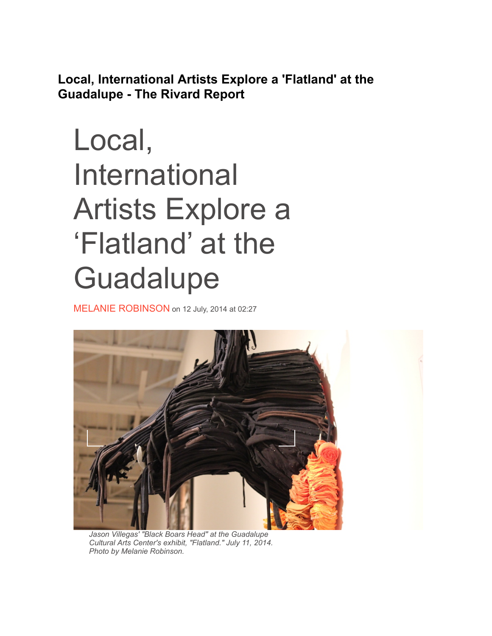**Local, International Artists Explore a 'Flatland' at the Guadalupe - The Rivard Report**

## Local, International Artists Explore a 'Flatland' at the **Guadalupe**

[MELANIE ROBINSON](http://therivardreport.com/author/melanie-robinson/) on 12 July, 2014 at 02:27



*Jason Villegas' "Black Boars Head" at the Guadalupe Cultural Arts Center's exhibit, "Flatland." July 11, 2014. Photo by Melanie Robinson.*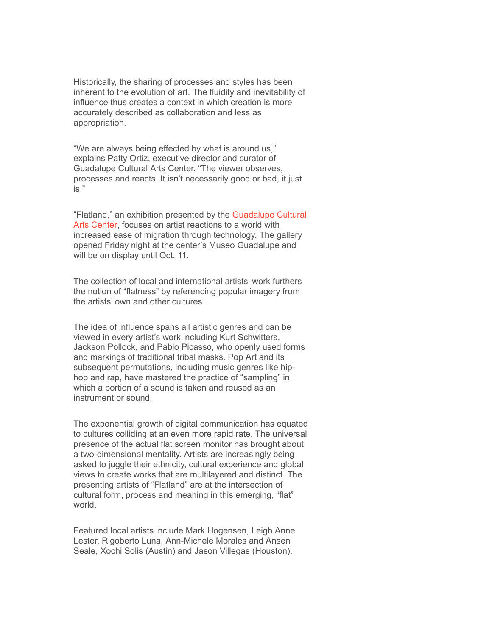Historically, the sharing of processes and styles has been inherent to the evolution of art. The fluidity and inevitability of influence thus creates a context in which creation is more accurately described as collaboration and less as appropriation.

"We are always being effected by what is around us," explains Patty Ortiz, executive director and curator of Guadalupe Cultural Arts Center. "The viewer observes, processes and reacts. It isn't necessarily good or bad, it just is."

["Flatland," an exhibition presented by the Guadalupe Cultural](https://www.google.com/url?sa=t&rct=j&q=&esrc=s&source=web&cd=1&cad=rja&uact=8&ved=0CB0QFjAA&url=http%3A%2F%2Fwww.guadalupeculturalarts.org%2F&ei=OMrAU5frH4eGyASi4oDwCA&usg=AFQjCNEaDNSQyq7mPql5h-c83_i9AyKJSw&sig2=dL0hduBdzj5lvWxkRwvlUg&bvm=bv.70810081,d.aWw) Arts Center, focuses on artist reactions to a world with increased ease of migration through technology. The gallery opened Friday night at the center's Museo Guadalupe and will be on display until Oct. 11.

The collection of local and international artists' work furthers the notion of "flatness" by referencing popular imagery from the artists' own and other cultures.

The idea of influence spans all artistic genres and can be viewed in every artist's work including Kurt Schwitters, Jackson Pollock, and Pablo Picasso, who openly used forms and markings of traditional tribal masks. Pop Art and its subsequent permutations, including music genres like hiphop and rap, have mastered the practice of "sampling" in which a portion of a sound is taken and reused as an instrument or sound.

The exponential growth of digital communication has equated to cultures colliding at an even more rapid rate. The universal presence of the actual flat screen monitor has brought about a two-dimensional mentality. Artists are increasingly being asked to juggle their ethnicity, cultural experience and global views to create works that are multilayered and distinct. The presenting artists of "Flatland" are at the intersection of cultural form, process and meaning in this emerging, "flat" world.

Featured local artists include Mark Hogensen, Leigh Anne Lester, Rigoberto Luna, Ann-Michele Morales and Ansen Seale, Xochi Solis (Austin) and Jason Villegas (Houston).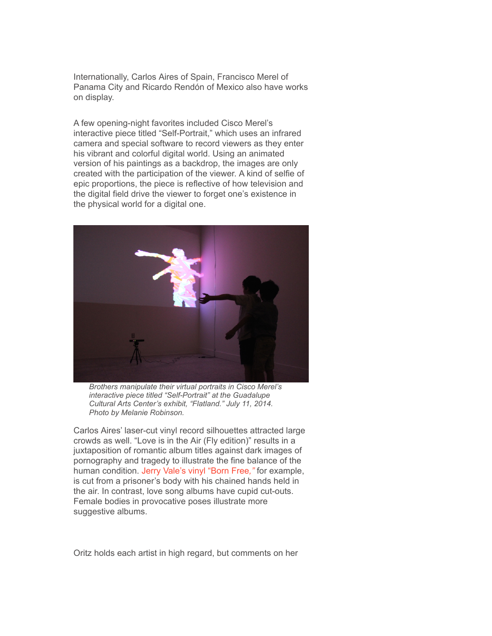Internationally, Carlos Aires of Spain, Francisco Merel of Panama City and Ricardo Rendón of Mexico also have works on display.

A few opening-night favorites included Cisco Merel's interactive piece titled "Self-Portrait," which uses an infrared camera and special software to record viewers as they enter his vibrant and colorful digital world. Using an animated version of his paintings as a backdrop, the images are only created with the participation of the viewer. A kind of selfie of epic proportions, the piece is reflective of how television and the digital field drive the viewer to forget one's existence in the physical world for a digital one.



*Brothers manipulate their virtual portraits in Cisco Merel's interactive piece titled "Self-Portrait" at the Guadalupe Cultural Arts Center's exhibit, "Flatland." July 11, 2014. Photo by Melanie Robinson.*

Carlos Aires' laser-cut vinyl record silhouettes attracted large crowds as well. "Love is in the Air (Fly edition)" results in a juxtaposition of romantic album titles against dark images of pornography and tragedy to illustrate the fine balance of the human condition. [Jerry Vale's vinyl "Born Free](http://www.ebay.com/itm/JERRY-VALE-BORN-FREE-pop-vocal-vinyl-LP-/300489756743)*[,"](http://www.ebay.com/itm/JERRY-VALE-BORN-FREE-pop-vocal-vinyl-LP-/300489756743)* for example, is cut from a prisoner's body with his chained hands held in the air. In contrast, love song albums have cupid cut-outs. Female bodies in provocative poses illustrate more suggestive albums.

Oritz holds each artist in high regard, but comments on her